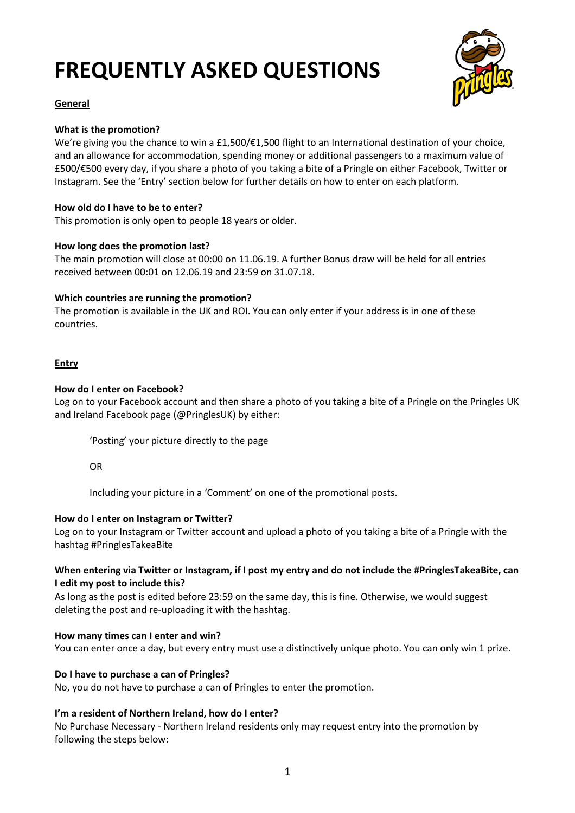# **FREQUENTLY ASKED QUESTIONS**



# **General**

# **What is the promotion?**

We're giving you the chance to win a £1,500  $\neq$ 1,500 flight to an International destination of your choice, and an allowance for accommodation, spending money or additional passengers to a maximum value of £500/€500 every day, if you share a photo of you taking a bite of a Pringle on either Facebook, Twitter or Instagram. See the 'Entry' section below for further details on how to enter on each platform.

## **How old do I have to be to enter?**

This promotion is only open to people 18 years or older.

## **How long does the promotion last?**

The main promotion will close at 00:00 on 11.06.19. A further Bonus draw will be held for all entries received between 00:01 on 12.06.19 and 23:59 on 31.07.18.

## **Which countries are running the promotion?**

The promotion is available in the UK and ROI. You can only enter if your address is in one of these countries.

# **Entry**

## **How do I enter on Facebook?**

Log on to your Facebook account and then share a photo of you taking a bite of a Pringle on the Pringles UK and Ireland Facebook page (@PringlesUK) by either:

'Posting' your picture directly to the page

#### OR

Including your picture in a 'Comment' on one of the promotional posts.

#### **How do I enter on Instagram or Twitter?**

Log on to your Instagram or Twitter account and upload a photo of you taking a bite of a Pringle with the hashtag #PringlesTakeaBite

## **When entering via Twitter or Instagram, if I post my entry and do not include the #PringlesTakeaBite, can I edit my post to include this?**

As long as the post is edited before 23:59 on the same day, this is fine. Otherwise, we would suggest deleting the post and re-uploading it with the hashtag.

#### **How many times can I enter and win?**

You can enter once a day, but every entry must use a distinctively unique photo. You can only win 1 prize.

#### **Do I have to purchase a can of Pringles?**

No, you do not have to purchase a can of Pringles to enter the promotion.

# **I'm a resident of Northern Ireland, how do I enter?**

No Purchase Necessary - Northern Ireland residents only may request entry into the promotion by following the steps below: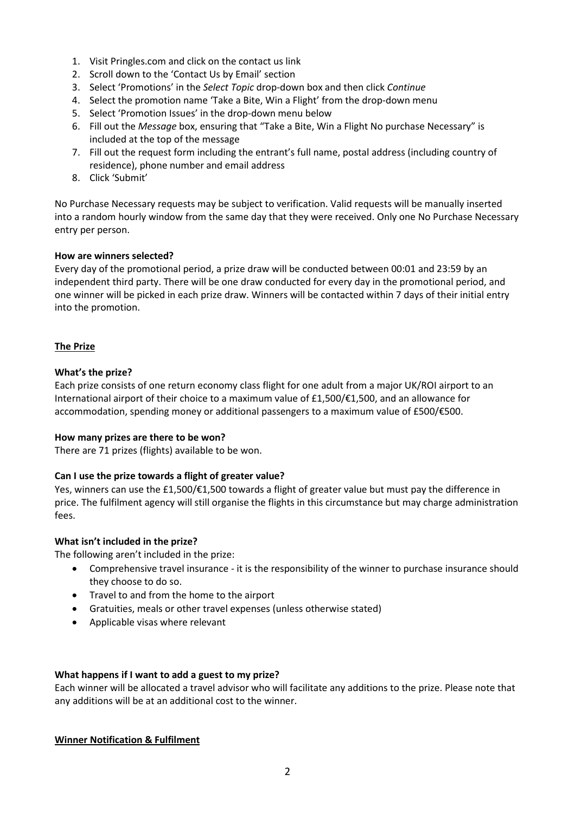- 1. Visit Pringles.com and click on the contact us link
- 2. Scroll down to the 'Contact Us by Email' section
- 3. Select 'Promotions' in the *Select Topic* drop-down box and then click *Continue*
- 4. Select the promotion name 'Take a Bite, Win a Flight' from the drop-down menu
- 5. Select 'Promotion Issues' in the drop-down menu below
- 6. Fill out the *Message* box, ensuring that "Take a Bite, Win a Flight No purchase Necessary" is included at the top of the message
- 7. Fill out the request form including the entrant's full name, postal address (including country of residence), phone number and email address
- 8. Click 'Submit'

No Purchase Necessary requests may be subject to verification. Valid requests will be manually inserted into a random hourly window from the same day that they were received. Only one No Purchase Necessary entry per person.

#### **How are winners selected?**

Every day of the promotional period, a prize draw will be conducted between 00:01 and 23:59 by an independent third party. There will be one draw conducted for every day in the promotional period, and one winner will be picked in each prize draw. Winners will be contacted within 7 days of their initial entry into the promotion.

## **The Prize**

#### **What's the prize?**

Each prize consists of one return economy class flight for one adult from a major UK/ROI airport to an International airport of their choice to a maximum value of £1,500/€1,500, and an allowance for accommodation, spending money or additional passengers to a maximum value of £500/€500.

#### **How many prizes are there to be won?**

There are 71 prizes (flights) available to be won.

#### **Can I use the prize towards a flight of greater value?**

Yes, winners can use the £1,500/€1,500 towards a flight of greater value but must pay the difference in price. The fulfilment agency will still organise the flights in this circumstance but may charge administration fees.

#### **What isn't included in the prize?**

The following aren't included in the prize:

- Comprehensive travel insurance it is the responsibility of the winner to purchase insurance should they choose to do so.
- Travel to and from the home to the airport
- Gratuities, meals or other travel expenses (unless otherwise stated)
- Applicable visas where relevant

#### **What happens if I want to add a guest to my prize?**

Each winner will be allocated a travel advisor who will facilitate any additions to the prize. Please note that any additions will be at an additional cost to the winner.

#### **Winner Notification & Fulfilment**